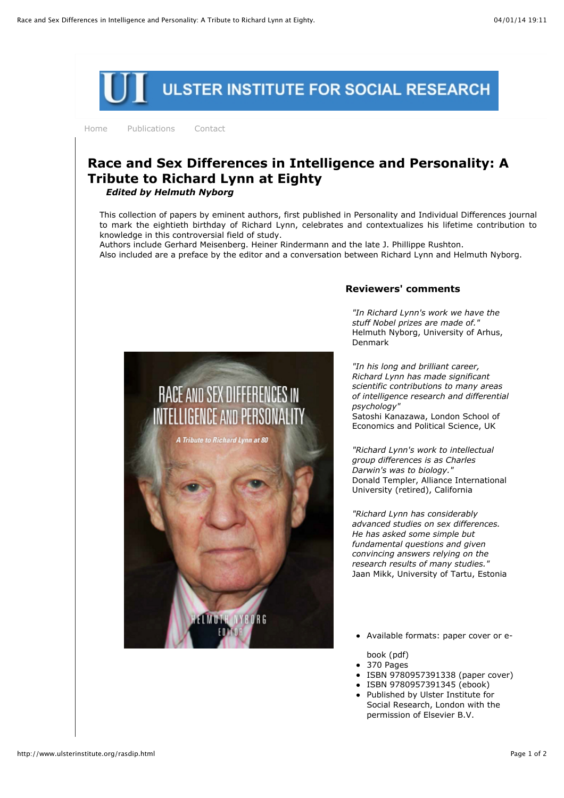